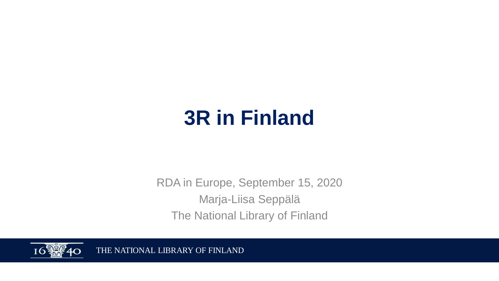# **3R in Finland**

RDA in Europe, September 15, 2020 Marja-Liisa Seppälä The National Library of Finland



THE NATIONAL LIBRARY OF FINLAND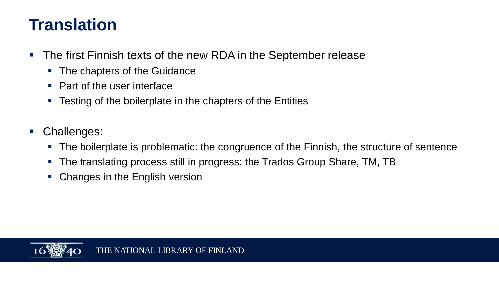#### **Translation**

- The first Finnish texts of the new RDA in the September release
	- The chapters of the Guidance
	- Part of the user interface
	- Testing of the boilerplate in the chapters of the Entities
- Challenges:
	- The boilerplate is problematic: the congruence of the Finnish, the structure of sentence
	- The translating process still in progress: the Trados Group Share, TM, TB
	- Changes in the English version

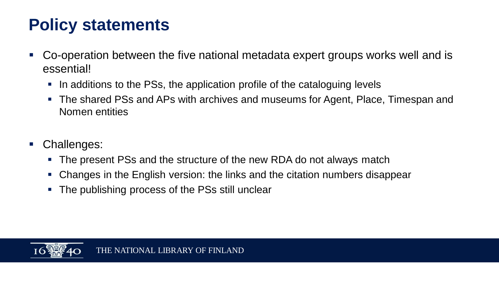### **Policy statements**

- Co-operation between the five national metadata expert groups works well and is essential!
	- In additions to the PSs, the application profile of the cataloguing levels
	- The shared PSs and APs with archives and museums for Agent, Place, Timespan and Nomen entities
- Challenges:
	- The present PSs and the structure of the new RDA do not always match
	- Changes in the English version: the links and the citation numbers disappear
	- The publishing process of the PSs still unclear

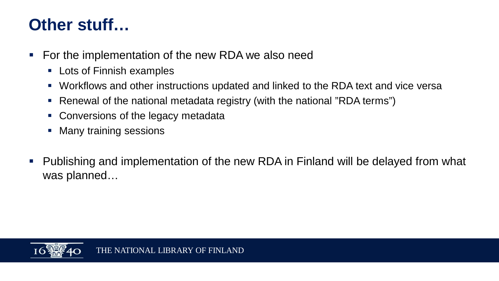#### **Other stuff…**

- For the implementation of the new RDA we also need
	- Lots of Finnish examples
	- Workflows and other instructions updated and linked to the RDA text and vice versa
	- Renewal of the national metadata registry (with the national "RDA terms")
	- Conversions of the legacy metadata
	- Many training sessions
- Publishing and implementation of the new RDA in Finland will be delayed from what was planned…

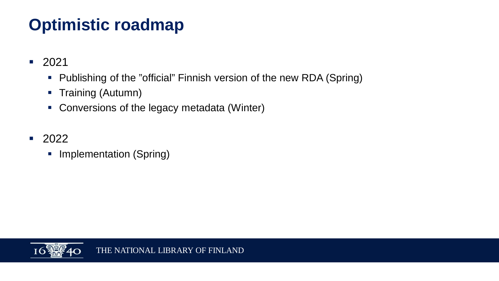# **Optimistic roadmap**

- 2021
	- Publishing of the "official" Finnish version of the new RDA (Spring)
	- § Training (Autumn)
	- Conversions of the legacy metadata (Winter)
- 2022
	- Implementation (Spring)

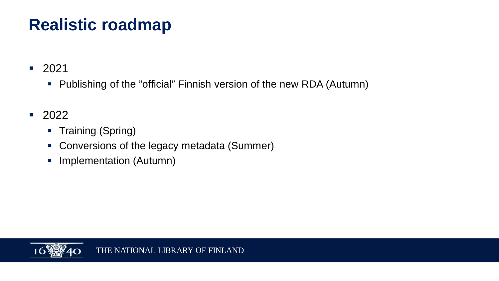## **Realistic roadmap**

■ 2021

- Publishing of the "official" Finnish version of the new RDA (Autumn)
- 2022
	- Training (Spring)
	- Conversions of the legacy metadata (Summer)
	- **Implementation (Autumn)**